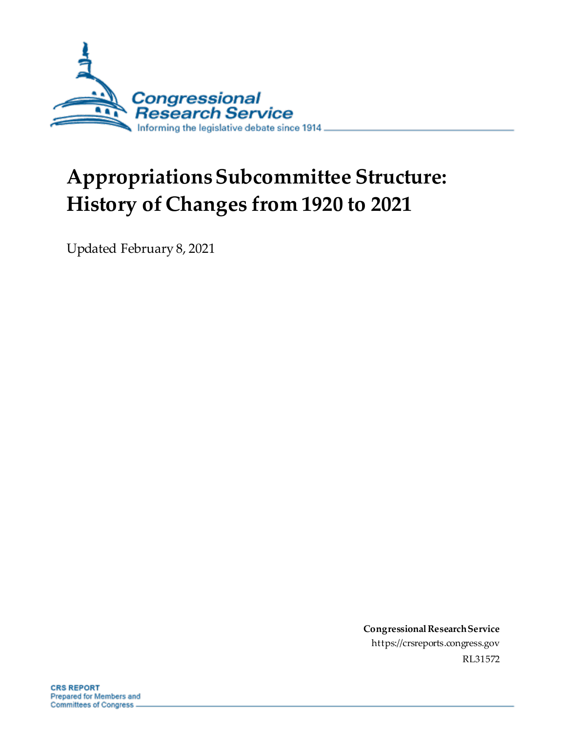

# **Appropriations Subcommittee Structure: History of Changes from 1920 to 2021**

Updated February 8, 2021

**Congressional Research Service** https://crsreports.congress.gov RL31572

**CRS REPORT** Prepared for Members and Committees of Congress.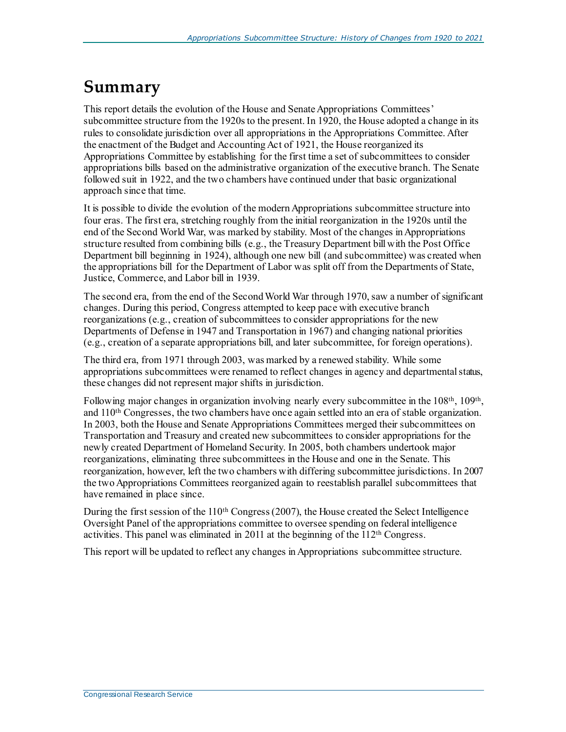# **Summary**

This report details the evolution of the House and Senate Appropriations Committees' subcommittee structure from the 1920s to the present. In 1920, the House adopted a change in its rules to consolidate jurisdiction over all appropriations in the Appropriations Committee. After the enactment of the Budget and Accounting Act of 1921, the House reorganized its Appropriations Committee by establishing for the first time a set of subcommittees to consider appropriations bills based on the administrative organization of the executive branch. The Senate followed suit in 1922, and the two chambers have continued under that basic organizational approach since that time.

It is possible to divide the evolution of the modern Appropriations subcommittee structure into four eras. The first era, stretching roughly from the initial reorganization in the 1920s until the end of the Second World War, was marked by stability. Most of the changes in Appropriations structure resulted from combining bills (e.g., the Treasury Department bill with the Post Office Department bill beginning in 1924), although one new bill (and subcommittee) was created when the appropriations bill for the Department of Labor was split off from the Departments of State, Justice, Commerce, and Labor bill in 1939.

The second era, from the end of the Second World War through 1970, saw a number of significant changes. During this period, Congress attempted to keep pace with executive branch reorganizations (e.g., creation of subcommittees to consider appropriations for the new Departments of Defense in 1947 and Transportation in 1967) and changing national priorities (e.g., creation of a separate appropriations bill, and later subcommittee, for foreign operations).

The third era, from 1971 through 2003, was marked by a renewed stability. While some appropriations subcommittees were renamed to reflect changes in agency and departmental status, these changes did not represent major shifts in jurisdiction.

Following major changes in organization involving nearly every subcommittee in the 108<sup>th</sup>, 109<sup>th</sup>, and 110th Congresses, the two chambers have once again settled into an era of stable organization. In 2003, both the House and Senate Appropriations Committees merged their subcommittees on Transportation and Treasury and created new subcommittees to consider appropriations for the newly created Department of Homeland Security. In 2005, both chambers undertook major reorganizations, eliminating three subcommittees in the House and one in the Senate. This reorganization, however, left the two chambers with differing subcommittee jurisdictions. In 2007 the two Appropriations Committees reorganized again to reestablish parallel subcommittees that have remained in place since.

During the first session of the  $110<sup>th</sup>$  Congress (2007), the House created the Select Intelligence Oversight Panel of the appropriations committee to oversee spending on federal intelligence activities. This panel was eliminated in 2011 at the beginning of the 112th Congress.

This report will be updated to reflect any changes in Appropriations subcommittee structure.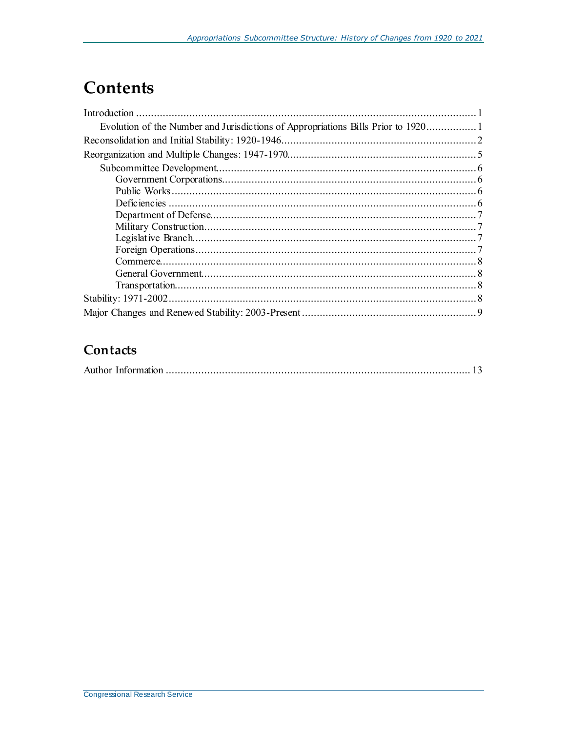# **Contents**

### Contacts

|--|--|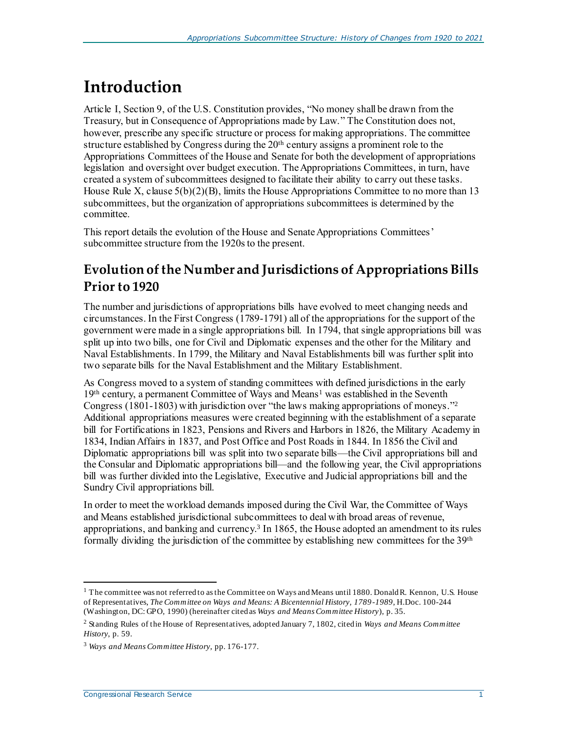# <span id="page-3-0"></span>**Introduction**

Article I, Section 9, of the U.S. Constitution provides, "No money shall be drawn from the Treasury, but in Consequence of Appropriations made by Law." The Constitution does not, however, prescribe any specific structure or process for making appropriations. The committee structure established by Congress during the 20th century assigns a prominent role to the Appropriations Committees of the House and Senate for both the development of appropriations legislation and oversight over budget execution. The Appropriations Committees, in turn, have created a system of subcommittees designed to facilitate their ability to carry out these tasks. House Rule X, clause  $5(b)(2)(B)$ , limits the House Appropriations Committee to no more than 13 subcommittees, but the organization of appropriations subcommittees is determined by the committee.

This report details the evolution of the House and Senate Appropriations Committees' subcommittee structure from the 1920s to the present.

### <span id="page-3-1"></span>**Evolution of the Number and Jurisdictions of Appropriations Bills Prior to 1920**

The number and jurisdictions of appropriations bills have evolved to meet changing needs and circumstances. In the First Congress (1789-1791) all of the appropriations for the support of the government were made in a single appropriations bill. In 1794, that single appropriations bill was split up into two bills, one for Civil and Diplomatic expenses and the other for the Military and Naval Establishments. In 1799, the Military and Naval Establishments bill was further split into two separate bills for the Naval Establishment and the Military Establishment.

As Congress moved to a system of standing committees with defined jurisdictions in the early 19<sup>th</sup> century, a permanent Committee of Ways and Means<sup>1</sup> was established in the Seventh Congress (1801-1803) with jurisdiction over "the laws making appropriations of moneys." 2 Additional appropriations measures were created beginning with the establishment of a separate bill for Fortifications in 1823, Pensions and Rivers and Harbors in 1826, the Military Academy in 1834, Indian Affairs in 1837, and Post Office and Post Roads in 1844. In 1856 the Civil and Diplomatic appropriations bill was split into two separate bills—the Civil appropriations bill and the Consular and Diplomatic appropriations bill—and the following year, the Civil appropriations bill was further divided into the Legislative, Executive and Judicial appropriations bill and the Sundry Civil appropriations bill.

In order to meet the workload demands imposed during the Civil War, the Committee of Ways and Means established jurisdictional subcommittees to deal with broad areas of revenue, appropriations, and banking and currency.<sup>3</sup> In 1865, the House adopted an amendment to its rules formally dividing the jurisdiction of the committee by establishing new committees for the 39th

 $1$  The committee was not referred to as the Committee on Ways and Means until 1880. Donald R. Kennon, U.S. House of Representatives, *The Committee on Ways and Means: A Bicentennial History, 1789-1989*, H.Doc. 100-244 (Washington, DC: GPO, 1990) (hereinafter cited as *Ways and Means Committee History*), p. 35.

<sup>2</sup> Standing Rules of the House of Representatives, adopted January 7, 1802, cited in *Ways and Means Committee History*, p. 59.

<sup>3</sup> *Ways and Means Committee History*, pp. 176-177.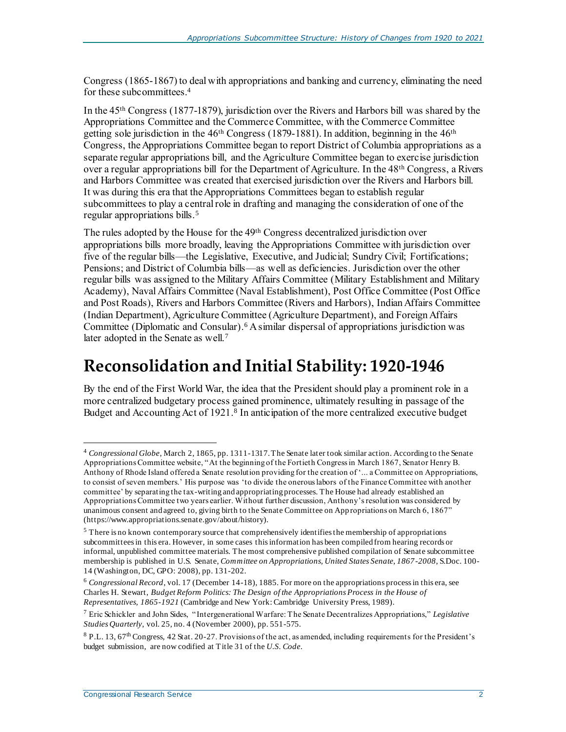Congress (1865-1867) to deal with appropriations and banking and currency, eliminating the need for these subcommittees.<sup>4</sup>

In the 45th Congress (1877-1879), jurisdiction over the Rivers and Harbors bill was shared by the Appropriations Committee and the Commerce Committee, with the Commerce Committee getting sole jurisdiction in the 46th Congress (1879-1881). In addition, beginning in the 46th Congress, the Appropriations Committee began to report District of Columbia appropriations as a separate regular appropriations bill, and the Agriculture Committee began to exercise jurisdiction over a regular appropriations bill for the Department of Agriculture. In the 48th Congress, a Rivers and Harbors Committee was created that exercised jurisdiction over the Rivers and Harbors bill. It was during this era that the Appropriations Committees began to establish regular subcommittees to play a central role in drafting and managing the consideration of one of the regular appropriations bills.<sup>5</sup>

The rules adopted by the House for the 49th Congress decentralized jurisdiction over appropriations bills more broadly, leaving the Appropriations Committee with jurisdiction over five of the regular bills—the Legislative, Executive, and Judicial; Sundry Civil; Fortifications; Pensions; and District of Columbia bills—as well as deficiencies. Jurisdiction over the other regular bills was assigned to the Military Affairs Committee (Military Establishment and Military Academy), Naval Affairs Committee (Naval Establishment), Post Office Committee (Post Office and Post Roads), Rivers and Harbors Committee (Rivers and Harbors), Indian Affairs Committee (Indian Department), Agriculture Committee (Agriculture Department), and Foreign Affairs Committee (Diplomatic and Consular). <sup>6</sup> A similar dispersal of appropriations jurisdiction was later adopted in the Senate as well.<sup>7</sup>

### <span id="page-4-0"></span>**Reconsolidation and Initial Stability: 1920-1946**

By the end of the First World War, the idea that the President should play a prominent role in a more centralized budgetary process gained prominence, ultimately resulting in passage of the Budget and Accounting Act of 1921. 8 In anticipation of the more centralized executive budget

j

<sup>4</sup> *Congressional Globe*, March 2, 1865, pp. 1311-1317. The Senate later took similar action. According to the Senate Appropriations Committee website, "At the beginning of the Fortieth Congress in March 1867, Senator Henry B. Anthony of Rhode Island offered a Senate resolution providing for the creation of '... a Committee on Appropriations, to consist of seven members.' His purpose was 'to divide the onerous labors of the Finance Committee with another committee' by separating the tax-writing and appropriating processes. The House had already established an Appropriations Committee two years earlier. Without further discussion, Anthony's resolution was considered by unanimous consent and agreed to, giving birth to the Senate Committee on App ropriations on March 6, 1867" (https://www.appropriations.senate.gov/about/history).

<sup>5</sup> There is no known contemporary source that comprehensively identifiesthe membership of appropriations subcommittees in this era. However, in some cases this information has been compiled from hearing records or informal, unpublished committee materials. The most comprehensive published compilation of Senate subcommittee membership is published in U.S. Senate, *Committee on Appropriations, United States Senate, 1867-2008*, S.Doc. 100- 14 (Washington, DC, GPO: 2008), pp. 131-202.

<sup>6</sup> *Congressional Record*, vol. 17 (December 14-18), 1885. For more on the appropriations process in this era, see Charles H. Stewart, *Budget Reform Politics: The Design of the Appropriations Process in the House of Representatives, 1865-1921* (Cambridge and New York: Cambridge University Press, 1989).

<sup>7</sup> Eric Schickler and John Sides, "Intergenerational Warfare: The Senate Decentralizes Appropriations," *Legislative Studies Quarterly*, vol. 25, no. 4 (November 2000), pp. 551-575.

<sup>8</sup> P.L. 13, 67<sup>th</sup> Congress, 42 Stat. 20-27. Provisions of the act, as amended, including requirements for the President's budget submission, are now codified at Title 31 of the *U.S. Code*.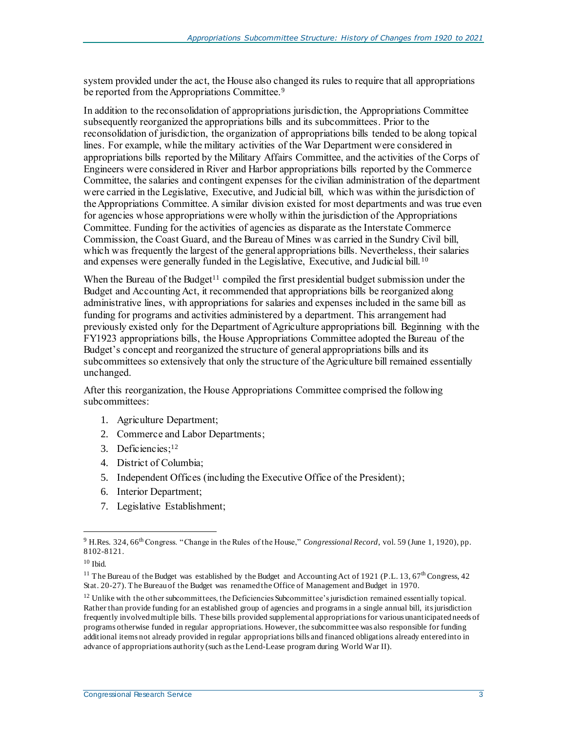system provided under the act, the House also changed its rules to require that all appropriations be reported from the Appropriations Committee.<sup>9</sup>

In addition to the reconsolidation of appropriations jurisdiction, the Appropriations Committee subsequently reorganized the appropriations bills and its subcommittees. Prior to the reconsolidation of jurisdiction, the organization of appropriations bills tended to be along topical lines. For example, while the military activities of the War Department were considered in appropriations bills reported by the Military Affairs Committee, and the activities of the Corps of Engineers were considered in River and Harbor appropriations bills reported by the Commerce Committee, the salaries and contingent expenses for the civilian administration of the department were carried in the Legislative, Executive, and Judicial bill, which was within the jurisdiction of the Appropriations Committee. A similar division existed for most departments and was true even for agencies whose appropriations were wholly within the jurisdiction of the Appropriations Committee. Funding for the activities of agencies as disparate as the Interstate Commerce Commission, the Coast Guard, and the Bureau of Mines was carried in the Sundry Civil bill, which was frequently the largest of the general appropriations bills. Nevertheless, their salaries and expenses were generally funded in the Legislative, Executive, and Judicial bill. <sup>10</sup>

When the Bureau of the Budget<sup>11</sup> compiled the first presidential budget submission under the Budget and Accounting Act, it recommended that appropriations bills be reorganized along administrative lines, with appropriations for salaries and expenses included in the same bill as funding for programs and activities administered by a department. This arrangement had previously existed only for the Department of Agriculture appropriations bill. Beginning with the FY1923 appropriations bills, the House Appropriations Committee adopted the Bureau of the Budget's concept and reorganized the structure of general appropriations bills and its subcommittees so extensively that only the structure of the Agriculture bill remained essentially unchanged.

After this reorganization, the House Appropriations Committee comprised the following subcommittees:

- 1. Agriculture Department;
- 2. Commerce and Labor Departments;
- 3. Deficiencies; 12
- 4. District of Columbia;
- 5. Independent Offices (including the Executive Office of the President);
- 6. Interior Department;
- 7. Legislative Establishment;

l <sup>9</sup> H.Res. 324, 66th Congress. "Change in the Rules of the House," *Congressional Record*, vol. 59 (June 1, 1920), pp. 8102-8121.

 $10$  Ibid.

<sup>&</sup>lt;sup>11</sup> The Bureau of the Budget was established by the Budget and Accounting Act of 1921 (P.L. 13, 67<sup>th</sup> Congress, 42 Stat. 20-27). The Bureau of the Budget was renamed the Office of Management and Budget in 1970.

 $12$  Unlike with the other subcommittees, the Deficiencies Subcommittee's jurisdiction remained essentially topical. Rather than provide funding for an established group of agencies and programs in a single annual bill, its jurisdiction frequently involved multiple bills. These bills provided supplemental appropriations for various unanticipated needs of programs otherwise funded in regular appropriations. However, the subcommittee was also responsible for funding additional items not already provided in regular appropriations bills and financed obligations already entered into in advance of appropriations authority (such as the Lend-Lease program during World War II).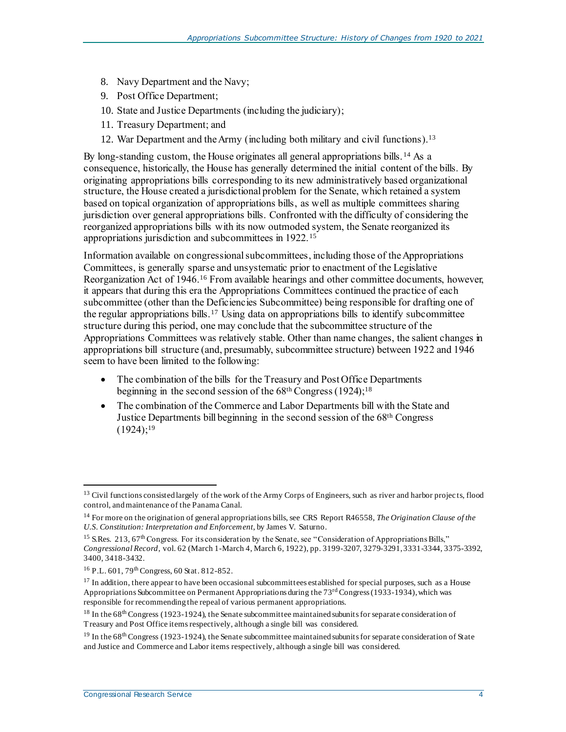- 8. Navy Department and the Navy;
- 9. Post Office Department;
- 10. State and Justice Departments (including the judiciary);
- 11. Treasury Department; and
- 12. War Department and the Army (including both military and civil functions). 13

By long-standing custom, the House originates all general appropriations bills. <sup>14</sup> As a consequence, historically, the House has generally determined the initial content of the bills. By originating appropriations bills corresponding to its new administratively based organizational structure, the House created a jurisdictional problem for the Senate, which retained a system based on topical organization of appropriations bills, as well as multiple committees sharing jurisdiction over general appropriations bills. Confronted with the difficulty of considering the reorganized appropriations bills with its now outmoded system, the Senate reorganized its appropriations jurisdiction and subcommittees in 1922.<sup>15</sup>

Information available on congressional subcommittees, including those of the Appropriations Committees, is generally sparse and unsystematic prior to enactment of the Legislative Reorganization Act of 1946.<sup>16</sup> From available hearings and other committee documents, however, it appears that during this era the Appropriations Committees continued the practice of each subcommittee (other than the Deficiencies Subcommittee) being responsible for drafting one of the regular appropriations bills.<sup>17</sup> Using data on appropriations bills to identify subcommittee structure during this period, one may conclude that the subcommittee structure of the Appropriations Committees was relatively stable. Other than name changes, the salient changes in appropriations bill structure (and, presumably, subcommittee structure) between 1922 and 1946 seem to have been limited to the following:

- The combination of the bills for the Treasury and Post Office Departments beginning in the second session of the 68th Congress (1924); 18
- The combination of the Commerce and Labor Departments bill with the State and Justice Departments bill beginning in the second session of the 68th Congress  $(1924);^{19}$

<sup>&</sup>lt;sup>13</sup> Civil functions consisted largely of the work of the Army Corps of Engineers, such as river and harbor projects, flood control, and maintenance of the Panama Canal.

<sup>14</sup> For more on the origination of general appropriations bills, see CRS Report R46558, *The Origination Clause of the U.S. Constitution: Interpretation and Enforcement*, by James V. Saturno.

<sup>&</sup>lt;sup>15</sup> S.Res. 213, 67<sup>th</sup> Congress. For its consideration by the Senate, see "Consideration of Appropriations Bills," *Congressional Record*, vol. 62 (March 1-March 4, March 6, 1922), pp. 3199-3207, 3279-3291, 3331-3344, 3375-3392, 3400, 3418-3432.

 $16$  P.L. 601, 79<sup>th</sup> Congress, 60 Stat. 812-852.

 $17$  In addition, there appear to have been occasional subcommittees established for special purposes, such as a House Appropriations Subcommittee on Permanent Appropriations during the 73rd Congress (1933-1934), which was responsible for recommending the repeal of various permanent appropriations.

<sup>&</sup>lt;sup>18</sup> In the 68<sup>th</sup> Congress (1923-1924), the Senate subcommittee maintained subunits for separate consideration of Treasury and Post Office items respectively, although a single bill was considered.

<sup>&</sup>lt;sup>19</sup> In the 68<sup>th</sup> Congress (1923-1924), the Senate subcommittee maintained subunits for separate consideration of State and Justice and Commerce and Labor items respectively, although a single bill was considered.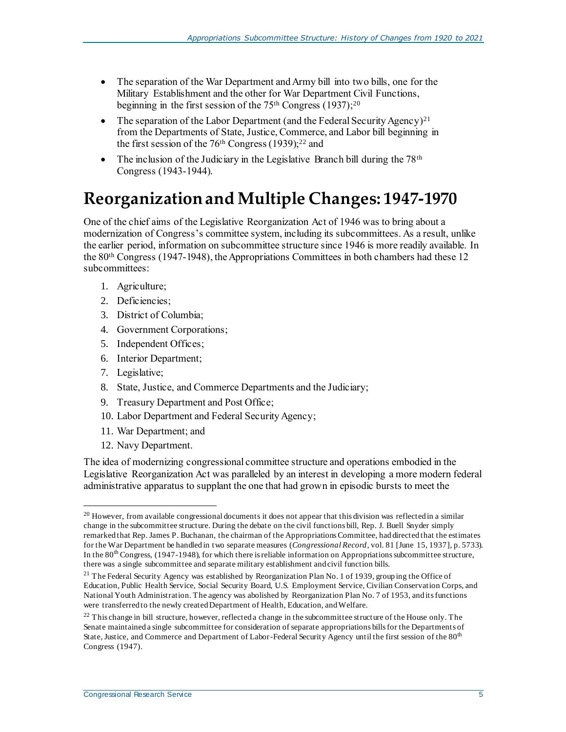- The separation of the War Department and Army bill into two bills, one for the Military Establishment and the other for War Department Civil Functions, beginning in the first session of the  $75<sup>th</sup>$  Congress (1937);<sup>20</sup>
- The separation of the Labor Department (and the Federal Security Agency)<sup>21</sup> from the Departments of State, Justice, Commerce, and Labor bill beginning in the first session of the 76th Congress (1939); <sup>22</sup> and
- The inclusion of the Judiciary in the Legislative Branch bill during the  $78<sup>th</sup>$ Congress (1943-1944).

# <span id="page-7-0"></span>**Reorganization and Multiple Changes: 1947-1970**

One of the chief aims of the Legislative Reorganization Act of 1946 was to bring about a modernization of Congress's committee system, including its subcommittees. As a result, unlike the earlier period, information on subcommittee structure since 1946 is more readily available. In the 80th Congress (1947-1948), the Appropriations Committees in both chambers had these 12 subcommittees:

- 1. Agriculture;
- 2. Deficiencies;
- 3. District of Columbia;
- 4. Government Corporations;
- 5. Independent Offices;
- 6. Interior Department;
- 7. Legislative;
- 8. State, Justice, and Commerce Departments and the Judiciary;
- 9. Treasury Department and Post Office;
- 10. Labor Department and Federal Security Agency;
- 11. War Department; and
- 12. Navy Department.

The idea of modernizing congressional committee structure and operations embodied in the Legislative Reorganization Act was paralleled by an interest in developing a more modern federal administrative apparatus to supplant the one that had grown in episodic bursts to meet the

l  $20$  However, from available congressional documents it does not appear that this division was reflected in a similar change in the subcommittee structure. During the debate on the civil functions bill, Rep. J. Buell Snyder simply remarked that Rep. James P. Buchanan, the chairman of the Appropriations Committee, had directed that the estimates for the War Department be handled in two separate measures (*Congressional Record*, vol. 81 [June 15, 1937], p. 5733). In the 80<sup>th</sup> Congress, (1947-1948), for which there is reliable information on Appropriations subcommittee structure, there was a single subcommittee and separate military establishment and civil function bills.

<sup>&</sup>lt;sup>21</sup> The Federal Security Agency was established by Reorganization Plan No. 1 of 1939, group ing the Office of Education, Public Health Service, Social Security Board, U.S. Employment Service, Civilian Conservation Corps, and National Youth Administration. The agency was abolished by Reorganization Plan No. 7 of 1953, and its functions were transferred to the newly created Department of Health, Education, and Welfare.

 $22$  This change in bill structure, however, reflected a change in the subcommittee structure of the House only. The Senate maintained a single subcommittee for consideration of separate appropriations bills for the Departments of State, Justice, and Commerce and Department of Labor-Federal Security Agency until the first session of the 80<sup>th</sup> Congress (1947).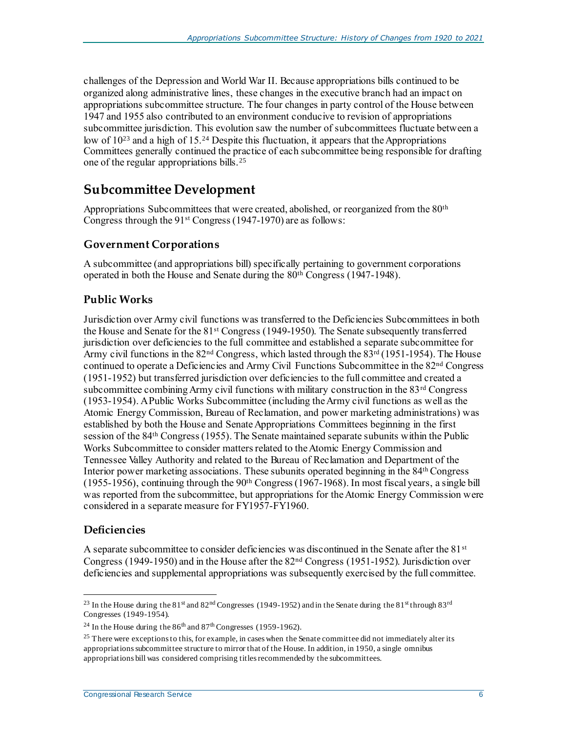challenges of the Depression and World War II. Because appropriations bills continued to be organized along administrative lines, these changes in the executive branch had an impact on appropriations subcommittee structure. The four changes in party control of the House between 1947 and 1955 also contributed to an environment conducive to revision of appropriations subcommittee jurisdiction. This evolution saw the number of subcommittees fluctuate between a low of 10<sup>23</sup> and a high of 15.<sup>24</sup> Despite this fluctuation, it appears that the Appropriations Committees generally continued the practice of each subcommittee being responsible for drafting one of the regular appropriations bills.<sup>25</sup>

### <span id="page-8-0"></span>**Subcommittee Development**

Appropriations Subcommittees that were created, abolished, or reorganized from the 80<sup>th</sup> Congress through the 91st Congress (1947-1970) are as follows:

#### <span id="page-8-1"></span>**Government Corporations**

A subcommittee (and appropriations bill) specifically pertaining to government corporations operated in both the House and Senate during the 80th Congress (1947-1948).

#### <span id="page-8-2"></span>**Public Works**

Jurisdiction over Army civil functions was transferred to the Deficiencies Subcommittees in both the House and Senate for the 81st Congress (1949-1950). The Senate subsequently transferred jurisdiction over deficiencies to the full committee and established a separate subcommittee for Army civil functions in the 82<sup>nd</sup> Congress, which lasted through the 83<sup>rd</sup> (1951-1954). The House continued to operate a Deficiencies and Army Civil Functions Subcommittee in the 82nd Congress (1951-1952) but transferred jurisdiction over deficiencies to the full committee and created a subcommittee combining Army civil functions with military construction in the  $83<sup>rd</sup> Congress$ (1953-1954). A Public Works Subcommittee (including the Army civil functions as well as the Atomic Energy Commission, Bureau of Reclamation, and power marketing administrations) was established by both the House and Senate Appropriations Committees beginning in the first session of the 84th Congress (1955). The Senate maintained separate subunits within the Public Works Subcommittee to consider matters related to the Atomic Energy Commission and Tennessee Valley Authority and related to the Bureau of Reclamation and Department of the Interior power marketing associations. These subunits operated beginning in the 84th Congress (1955-1956), continuing through the  $90<sup>th</sup> Congress$  (1967-1968). In most fiscal years, a single bill was reported from the subcommittee, but appropriations for the Atomic Energy Commission were considered in a separate measure for FY1957-FY1960.

#### <span id="page-8-3"></span>**Deficiencies**

A separate subcommittee to consider deficiencies was discontinued in the Senate after the 81<sup>st</sup> Congress (1949-1950) and in the House after the 82nd Congress (1951-1952). Jurisdiction over deficiencies and supplemental appropriations was subsequently exercised by the full committee.

l <sup>23</sup> In the House during the 81<sup>st</sup> and 82<sup>nd</sup> Congresses (1949-1952) and in the Senate during the 81<sup>st</sup> through 83<sup>rd</sup> Congresses (1949-1954).

<sup>&</sup>lt;sup>24</sup> In the House during the  $86<sup>th</sup>$  and  $87<sup>th</sup>$  Congresses (1959-1962).

<sup>&</sup>lt;sup>25</sup> There were exceptions to this, for example, in cases when the Senate committee did not immediately alter its appropriations subcommittee structure to mirror that of the House. In addition, in 1950, a single omnibus appropriations bill was considered comprising titles recommended by the subcommittees.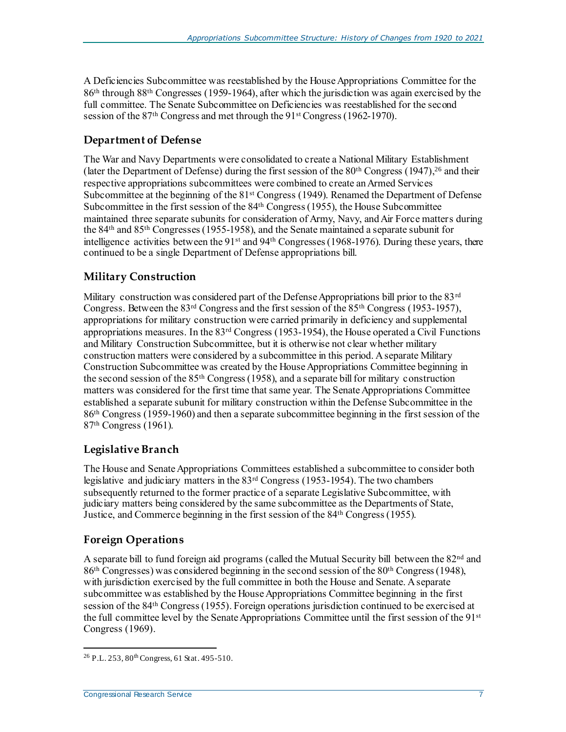A Deficiencies Subcommittee was reestablished by the House Appropriations Committee for the 86th through 88th Congresses (1959-1964), after which the jurisdiction was again exercised by the full committee. The Senate Subcommittee on Deficiencies was reestablished for the second session of the 87th Congress and met through the 91st Congress (1962-1970).

#### <span id="page-9-0"></span>**Department of Defense**

The War and Navy Departments were consolidated to create a National Military Establishment (later the Department of Defense) during the first session of the  $80<sup>th</sup>$  Congress (1947),<sup>26</sup> and their respective appropriations subcommittees were combined to create an Armed Services Subcommittee at the beginning of the 81<sup>st</sup> Congress (1949). Renamed the Department of Defense Subcommittee in the first session of the 84th Congress (1955), the House Subcommittee maintained three separate subunits for consideration of Army, Navy, and Air Force matters during the 84th and 85th Congresses (1955-1958), and the Senate maintained a separate subunit for intelligence activities between the 91<sup>st</sup> and 94<sup>th</sup> Congresses (1968-1976). During these years, there continued to be a single Department of Defense appropriations bill.

#### <span id="page-9-1"></span>**Military Construction**

Military construction was considered part of the Defense Appropriations bill prior to the 83<sup>rd</sup> Congress. Between the 83rd Congress and the first session of the 85th Congress (1953-1957), appropriations for military construction were carried primarily in deficiency and supplemental appropriations measures. In the 83rd Congress (1953-1954), the House operated a Civil Functions and Military Construction Subcommittee, but it is otherwise not clear whether military construction matters were considered by a subcommittee in this period. A separate Military Construction Subcommittee was created by the House Appropriations Committee beginning in the second session of the 85th Congress (1958), and a separate bill for military construction matters was considered for the first time that same year. The Senate Appropriations Committee established a separate subunit for military construction within the Defense Subcommittee in the 86th Congress (1959-1960) and then a separate subcommittee beginning in the first session of the 87th Congress (1961).

#### <span id="page-9-2"></span>**Legislative Branch**

The House and Senate Appropriations Committees established a subcommittee to consider both legislative and judiciary matters in the 83rd Congress (1953-1954). The two chambers subsequently returned to the former practice of a separate Legislative Subcommittee, with judiciary matters being considered by the same subcommittee as the Departments of State, Justice, and Commerce beginning in the first session of the 84th Congress(1955).

#### <span id="page-9-3"></span>**Foreign Operations**

A separate bill to fund foreign aid programs (called the Mutual Security bill between the 82<sup>nd</sup> and 86<sup>th</sup> Congresses) was considered beginning in the second session of the 80<sup>th</sup> Congress (1948), with jurisdiction exercised by the full committee in both the House and Senate. A separate subcommittee was established by the House Appropriations Committee beginning in the first session of the 84th Congress (1955). Foreign operations jurisdiction continued to be exercised at the full committee level by the Senate Appropriations Committee until the first session of the 91st Congress (1969).

 $^{26}$  P.L. 253,  $80^{\text{th}}$  Congress, 61 Stat. 495-510.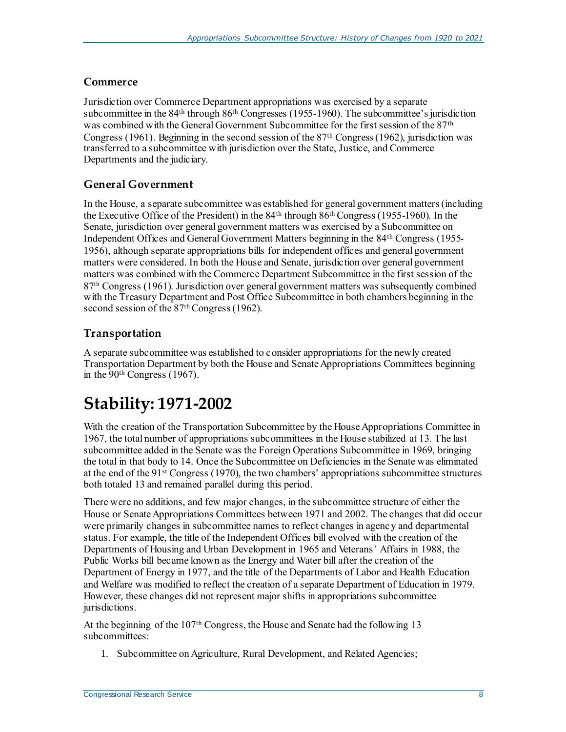#### <span id="page-10-0"></span>**Commerce**

Jurisdiction over Commerce Department appropriations was exercised by a separate subcommittee in the 84<sup>th</sup> through 86<sup>th</sup> Congresses (1955-1960). The subcommittee's jurisdiction was combined with the General Government Subcommittee for the first session of the 87th Congress (1961). Beginning in the second session of the 87th Congress (1962), jurisdiction was transferred to a subcommittee with jurisdiction over the State, Justice, and Commerce Departments and the judiciary.

#### <span id="page-10-1"></span>**General Government**

In the House, a separate subcommittee was established for general government matters (including the Executive Office of the President) in the 84th through 86th Congress (1955-1960). In the Senate, jurisdiction over general government matters was exercised by a Subcommittee on Independent Offices and General Government Matters beginning in the 84th Congress (1955- 1956), although separate appropriations bills for independent offices and general government matters were considered. In both the House and Senate, jurisdiction over general government matters was combined with the Commerce Department Subcommittee in the first session of the 87th Congress (1961). Jurisdiction over general government matters was subsequently combined with the Treasury Department and Post Office Subcommittee in both chambers beginning in the second session of the 87<sup>th</sup> Congress (1962).

#### <span id="page-10-2"></span>**Transportation**

A separate subcommittee was established to consider appropriations for the newly created Transportation Department by both the House and Senate Appropriations Committees beginning in the 90th Congress (1967).

### <span id="page-10-3"></span>**Stability: 1971-2002**

With the creation of the Transportation Subcommittee by the House Appropriations Committee in 1967, the total number of appropriations subcommittees in the House stabilized at 13. The last subcommittee added in the Senate was the Foreign Operations Subcommittee in 1969, bringing the total in that body to 14. Once the Subcommittee on Deficiencies in the Senate was eliminated at the end of the 91st Congress (1970), the two chambers' appropriations subcommittee structures both totaled 13 and remained parallel during this period.

There were no additions, and few major changes, in the subcommittee structure of either the House or Senate Appropriations Committees between 1971 and 2002. The changes that did occur were primarily changes in subcommittee names to reflect changes in agency and departmental status. For example, the title of the Independent Offices bill evolved with the creation of the Departments of Housing and Urban Development in 1965 and Veterans' Affairs in 1988, the Public Works bill became known as the Energy and Water bill after the creation of the Department of Energy in 1977, and the title of the Departments of Labor and Health Education and Welfare was modified to reflect the creation of a separate Department of Education in 1979. However, these changes did not represent major shifts in appropriations subcommittee jurisdictions.

At the beginning of the 107th Congress, the House and Senate had the following 13 subcommittees:

1. Subcommittee on Agriculture, Rural Development, and Related Agencies;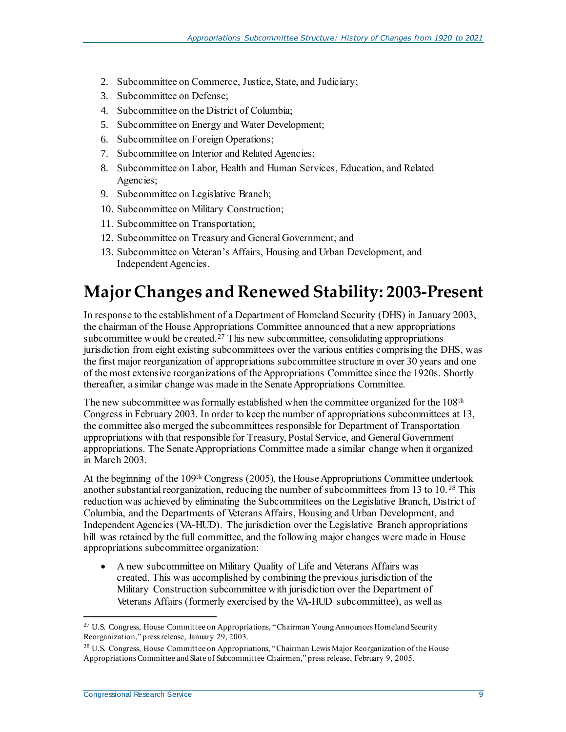- 2. Subcommittee on Commerce, Justice, State, and Judiciary;
- 3. Subcommittee on Defense;
- 4. Subcommittee on the District of Columbia;
- 5. Subcommittee on Energy and Water Development;
- 6. Subcommittee on Foreign Operations;
- 7. Subcommittee on Interior and Related Agencies;
- 8. Subcommittee on Labor, Health and Human Services, Education, and Related Agencies;
- 9. Subcommittee on Legislative Branch;
- 10. Subcommittee on Military Construction;
- 11. Subcommittee on Transportation;
- 12. Subcommittee on Treasury and General Government; and
- 13. Subcommittee on Veteran's Affairs, Housing and Urban Development, and Independent Agencies.

# <span id="page-11-0"></span>**Major Changes and Renewed Stability: 2003-Present**

In response to the establishment of a Department of Homeland Security (DHS) in January 2003, the chairman of the House Appropriations Committee announced that a new appropriations subcommittee would be created.<sup>27</sup> This new subcommittee, consolidating appropriations jurisdiction from eight existing subcommittees over the various entities comprising the DHS, was the first major reorganization of appropriations subcommittee structure in over 30 years and one of the most extensive reorganizations of the Appropriations Committee since the 1920s. Shortly thereafter, a similar change was made in the Senate Appropriations Committee.

The new subcommittee was formally established when the committee organized for the 108th Congress in February 2003. In order to keep the number of appropriations subcommittees at 13, the committee also merged the subcommittees responsible for Department of Transportation appropriations with that responsible for Treasury, Postal Service, and General Government appropriations. The Senate Appropriations Committee made a similar change when it organized in March 2003.

At the beginning of the 109th Congress (2005), the House Appropriations Committee undertook another substantial reorganization, reducing the number of subcommittees from 13 to 10. <sup>28</sup> This reduction was achieved by eliminating the Subcommittees on the Legislative Branch, District of Columbia, and the Departments of Veterans Affairs, Housing and Urban Development, and Independent Agencies (VA-HUD). The jurisdiction over the Legislative Branch appropriations bill was retained by the full committee, and the following major changes were made in House appropriations subcommittee organization:

 A new subcommittee on Military Quality of Life and Veterans Affairs was created. This was accomplished by combining the previous jurisdiction of the Military Construction subcommittee with jurisdiction over the Department of Veterans Affairs (formerly exercised by the VA-HUD subcommittee), as well as

<sup>&</sup>lt;sup>27</sup> U.S. Congress, House Committee on Appropriations, "Chairman Young Announces Homeland Security Reorganization," press release, January 29, 2003.

<sup>28</sup> U.S. Congress, House Committee on Appropriations, "Chairman Lewis Major Reorganization of the House Appropriations Committee and Slate of Subcommittee Chairmen," press release, February 9, 2005.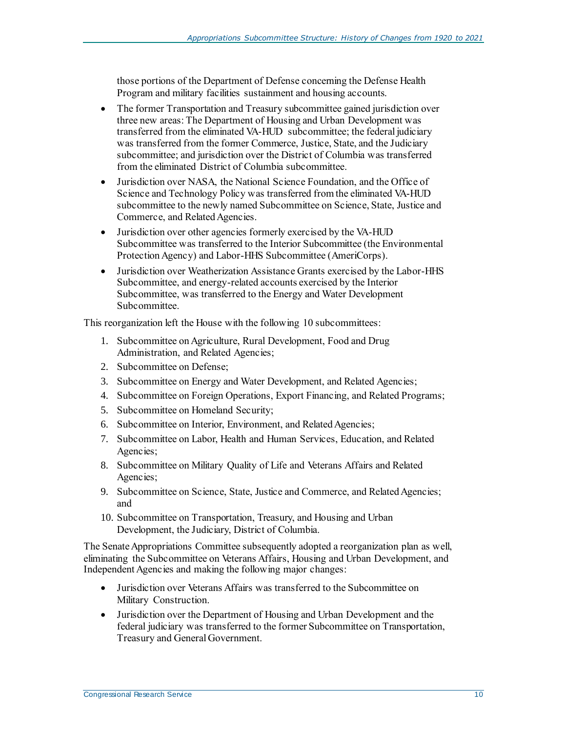those portions of the Department of Defense concerning the Defense Health Program and military facilities sustainment and housing accounts.

- The former Transportation and Treasury subcommittee gained jurisdiction over three new areas: The Department of Housing and Urban Development was transferred from the eliminated VA-HUD subcommittee; the federal judiciary was transferred from the former Commerce, Justice, State, and the Judiciary subcommittee; and jurisdiction over the District of Columbia was transferred from the eliminated District of Columbia subcommittee.
- Jurisdiction over NASA, the National Science Foundation, and the Office of Science and Technology Policy was transferred from the eliminated VA-HUD subcommittee to the newly named Subcommittee on Science, State, Justice and Commerce, and Related Agencies.
- Jurisdiction over other agencies formerly exercised by the VA-HUD Subcommittee was transferred to the Interior Subcommittee (the Environmental Protection Agency) and Labor-HHS Subcommittee (AmeriCorps).
- Jurisdiction over Weatherization Assistance Grants exercised by the Labor-HHS Subcommittee, and energy-related accounts exercised by the Interior Subcommittee, was transferred to the Energy and Water Development Subcommittee.

This reorganization left the House with the following 10 subcommittees:

- 1. Subcommittee on Agriculture, Rural Development, Food and Drug Administration, and Related Agencies;
- 2. Subcommittee on Defense;
- 3. Subcommittee on Energy and Water Development, and Related Agencies;
- 4. Subcommittee on Foreign Operations, Export Financing, and Related Programs;
- 5. Subcommittee on Homeland Security;
- 6. Subcommittee on Interior, Environment, and Related Agencies;
- 7. Subcommittee on Labor, Health and Human Services, Education, and Related Agencies;
- 8. Subcommittee on Military Quality of Life and Veterans Affairs and Related Agencies;
- 9. Subcommittee on Science, State, Justice and Commerce, and Related Agencies; and
- 10. Subcommittee on Transportation, Treasury, and Housing and Urban Development, the Judiciary, District of Columbia.

The Senate Appropriations Committee subsequently adopted a reorganization plan as well, eliminating the Subcommittee on Veterans Affairs, Housing and Urban Development, and Independent Agencies and making the following major changes:

- Jurisdiction over Veterans Affairs was transferred to the Subcommittee on Military Construction.
- Jurisdiction over the Department of Housing and Urban Development and the federal judiciary was transferred to the former Subcommittee on Transportation, Treasury and General Government.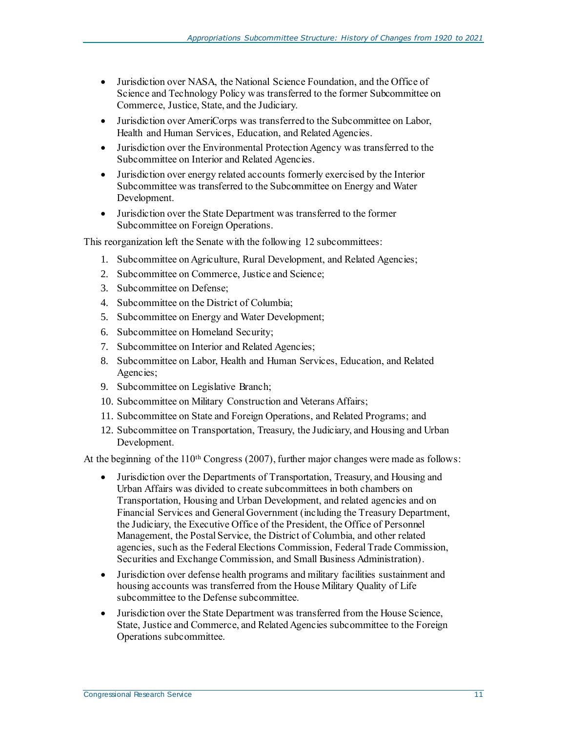- Jurisdiction over NASA, the National Science Foundation, and the Office of Science and Technology Policy was transferred to the former Subcommittee on Commerce, Justice, State, and the Judiciary.
- Jurisdiction over AmeriCorps was transferred to the Subcommittee on Labor, Health and Human Services, Education, and Related Agencies.
- Jurisdiction over the Environmental Protection Agency was transferred to the Subcommittee on Interior and Related Agencies.
- Jurisdiction over energy related accounts formerly exercised by the Interior Subcommittee was transferred to the Subcommittee on Energy and Water Development.
- Jurisdiction over the State Department was transferred to the former Subcommittee on Foreign Operations.

This reorganization left the Senate with the following 12 subcommittees:

- 1. Subcommittee on Agriculture, Rural Development, and Related Agencies;
- 2. Subcommittee on Commerce, Justice and Science;
- 3. Subcommittee on Defense;
- 4. Subcommittee on the District of Columbia;
- 5. Subcommittee on Energy and Water Development;
- 6. Subcommittee on Homeland Security;
- 7. Subcommittee on Interior and Related Agencies;
- 8. Subcommittee on Labor, Health and Human Services, Education, and Related Agencies;
- 9. Subcommittee on Legislative Branch;
- 10. Subcommittee on Military Construction and Veterans Affairs;
- 11. Subcommittee on State and Foreign Operations, and Related Programs; and
- 12. Subcommittee on Transportation, Treasury, the Judiciary, and Housing and Urban Development.

At the beginning of the  $110<sup>th</sup> Congress$  (2007), further major changes were made as follows:

- Jurisdiction over the Departments of Transportation, Treasury, and Housing and Urban Affairs was divided to create subcommittees in both chambers on Transportation, Housing and Urban Development, and related agencies and on Financial Services and General Government (including the Treasury Department, the Judiciary, the Executive Office of the President, the Office of Personnel Management, the Postal Service, the District of Columbia, and other related agencies, such as the Federal Elections Commission, Federal Trade Commission, Securities and Exchange Commission, and Small Business Administration).
- Jurisdiction over defense health programs and military facilities sustainment and housing accounts was transferred from the House Military Quality of Life subcommittee to the Defense subcommittee.
- Jurisdiction over the State Department was transferred from the House Science, State, Justice and Commerce, and Related Agencies subcommittee to the Foreign Operations subcommittee.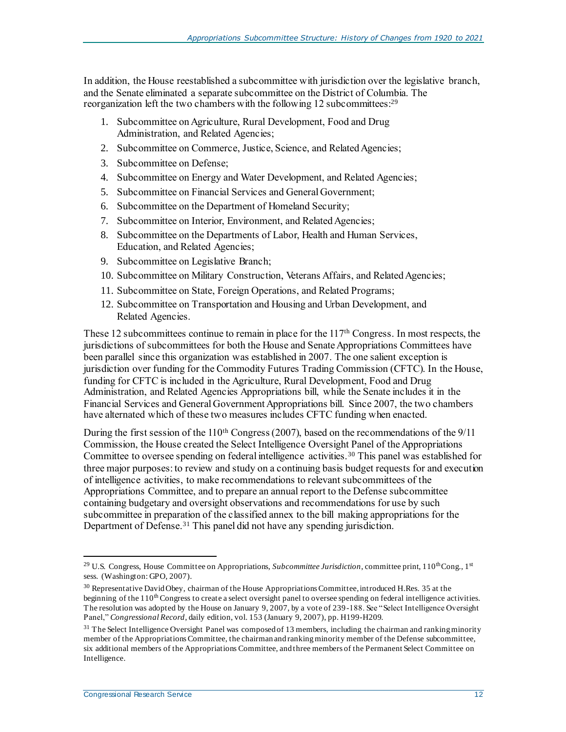In addition, the House reestablished a subcommittee with jurisdiction over the legislative branch, and the Senate eliminated a separate subcommittee on the District of Columbia. The reorganization left the two chambers with the following 12 subcommittees:<sup>29</sup>

- 1. Subcommittee on Agriculture, Rural Development, Food and Drug Administration, and Related Agencies;
- 2. Subcommittee on Commerce, Justice, Science, and Related Agencies;
- 3. Subcommittee on Defense;
- 4. Subcommittee on Energy and Water Development, and Related Agencies;
- 5. Subcommittee on Financial Services and General Government;
- 6. Subcommittee on the Department of Homeland Security;
- 7. Subcommittee on Interior, Environment, and Related Agencies;
- 8. Subcommittee on the Departments of Labor, Health and Human Services, Education, and Related Agencies;
- 9. Subcommittee on Legislative Branch;
- 10. Subcommittee on Military Construction, Veterans Affairs, and Related Agencies;
- 11. Subcommittee on State, Foreign Operations, and Related Programs;
- 12. Subcommittee on Transportation and Housing and Urban Development, and Related Agencies.

These 12 subcommittees continue to remain in place for the 117<sup>th</sup> Congress. In most respects, the jurisdictions of subcommittees for both the House and Senate Appropriations Committees have been parallel since this organization was established in 2007. The one salient exception is jurisdiction over funding for the Commodity Futures Trading Commission (CFTC). In the House, funding for CFTC is included in the Agriculture, Rural Development, Food and Drug Administration, and Related Agencies Appropriations bill, while the Senate includes it in the Financial Services and General Government Appropriations bill. Since 2007, the two chambers have alternated which of these two measures includes CFTC funding when enacted.

During the first session of the 110<sup>th</sup> Congress (2007), based on the recommendations of the 9/11 Commission, the House created the Select Intelligence Oversight Panel of the Appropriations Committee to oversee spending on federal intelligence activities.<sup>30</sup> This panel was established for three major purposes: to review and study on a continuing basis budget requests for and execution of intelligence activities, to make recommendations to relevant subcommittees of the Appropriations Committee, and to prepare an annual report to the Defense subcommittee containing budgetary and oversight observations and recommendations for use by such subcommittee in preparation of the classified annex to the bill making appropriations for the Department of Defense.<sup>31</sup> This panel did not have any spending jurisdiction.

<sup>&</sup>lt;sup>29</sup> U.S. Congress, House Committee on Appropriations, *Subcommittee Jurisdiction*, committee print, 110<sup>th</sup>Cong., 1<sup>st</sup> sess. (Washington: GPO, 2007).

<sup>&</sup>lt;sup>30</sup> Representative David Obey, chairman of the House Appropriations Committee, introduced H.Res. 35 at the beginning of the  $110<sup>th</sup>$  Congress to create a select oversight panel to oversee spending on federal intelligence activities. The resolution was adopted by the House on January 9, 2007, by a vote of 239-188. See "Select Intelligence Oversight Panel," *Congressional Record*, daily edition, vol. 153 (January 9, 2007), pp. H199-H209.

 $31$  The Select Intelligence Oversight Panel was composed of 13 members, including the chairman and ranking minority member of the Appropriations Committee, the chairman and ranking minority member of the Defense subcommittee, six additional members of the Appropriations Committee, and three members of the Permanent Select Committee on Intelligence.